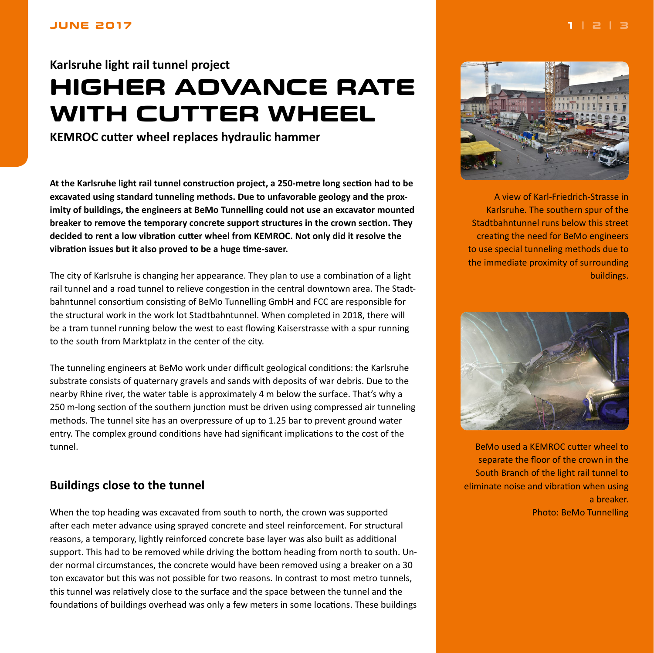# <span id="page-0-0"></span>**Karlsruhe light rail tunnel project HIGHER ADVANCE RATE WITH CUTTER WHEEL**

**KEMROC cutter wheel replaces hydraulic hammer**

**At the Karlsruhe light rail tunnel construction project, a 250-metre long section had to be excavated using standard tunneling methods. Due to unfavorable geology and the proximity of buildings, the engineers at BeMo Tunnelling could not use an excavator mounted breaker to remove the temporary concrete support structures in the crown section. They decided to rent a low vibration cutter wheel from KEMROC. Not only did it resolve the vibration issues but it also proved to be a huge time-saver.**

The city of Karlsruhe is changing her appearance. They plan to use a combination of a light rail tunnel and a road tunnel to relieve congestion in the central downtown area. The Stadtbahntunnel consortium consisting of BeMo Tunnelling GmbH and FCC are responsible for the structural work in the work lot Stadtbahntunnel. When completed in 2018, there will be a tram tunnel running below the west to east flowing Kaiserstrasse with a spur running to the south from Marktplatz in the center of the city.

The tunneling engineers at BeMo work under difficult geological conditions: the Karlsruhe substrate consists of quaternary gravels and sands with deposits of war debris. Due to the nearby Rhine river, the water table is approximately 4 m below the surface. That's why a 250 m-long section of the southern junction must be driven using compressed air tunneling methods. The tunnel site has an overpressure of up to 1.25 bar to prevent ground water entry. The complex ground conditions have had significant implications to the cost of the tunnel.

# **Buildings close to the tunnel**

When the top heading was excavated from south to north, the crown was supported after each meter advance using sprayed concrete and steel reinforcement. For structural reasons, a temporary, lightly reinforced concrete base layer was also built as additional support. This had to be removed while driving the bottom heading from north to south. Under normal circumstances, the concrete would have been removed using a breaker on a 30 ton excavator but this was not possible for two reasons. In contrast to most metro tunnels, this tunnel was relatively close to the surface and the space between the tunnel and the foundations of buildings overhead was only a few meters in some locations. These buildings



A view of Karl-Friedrich-Strasse in Karlsruhe. The southern spur of the Stadtbahntunnel runs below this street creating the need for BeMo engineers to use special tunneling methods due to the immediate proximity of surrounding buildings.



BeMo used a KEMROC cutter wheel to separate the floor of the crown in the South Branch of the light rail tunnel to eliminate noise and vibration when using a breaker. Photo: BeMo Tunnelling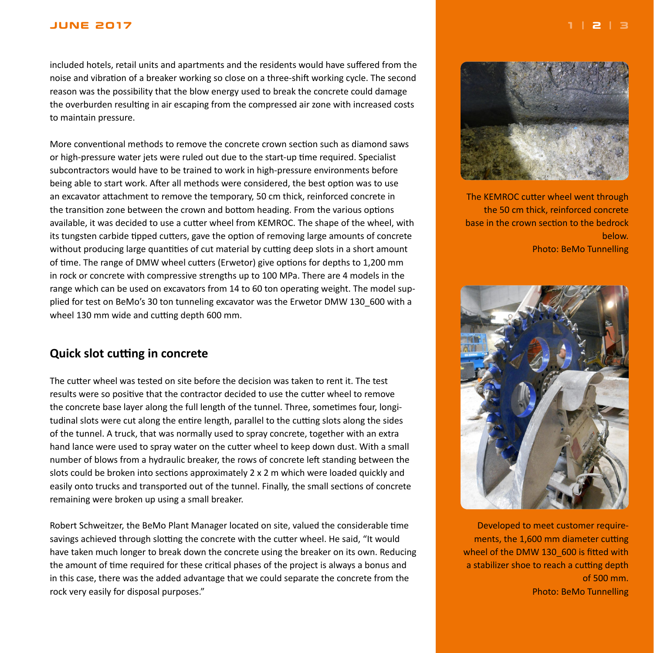#### <span id="page-1-0"></span>**JUNE 2017 [1](#page-0-0) | 2 | [3](#page-2-0)**

included hotels, retail units and apartments and the residents would have suffered from the noise and vibration of a breaker working so close on a three-shift working cycle. The second reason was the possibility that the blow energy used to break the concrete could damage the overburden resulting in air escaping from the compressed air zone with increased costs to maintain pressure.

More conventional methods to remove the concrete crown section such as diamond saws or high-pressure water jets were ruled out due to the start-up time required. Specialist subcontractors would have to be trained to work in high-pressure environments before being able to start work. After all methods were considered, the best option was to use an excavator attachment to remove the temporary, 50 cm thick, reinforced concrete in the transition zone between the crown and bottom heading. From the various options available, it was decided to use a cutter wheel from KEMROC. The shape of the wheel, with its tungsten carbide tipped cutters, gave the option of removing large amounts of concrete without producing large quantities of cut material by cutting deep slots in a short amount of time. The range of DMW wheel cutters (Erwetor) give options for depths to 1,200 mm in rock or concrete with compressive strengths up to 100 MPa. There are 4 models in the range which can be used on excavators from 14 to 60 ton operating weight. The model supplied for test on BeMo's 30 ton tunneling excavator was the Erwetor DMW 130\_600 with a wheel 130 mm wide and cutting depth 600 mm.

## **Quick slot cutting in concrete**

The cutter wheel was tested on site before the decision was taken to rent it. The test results were so positive that the contractor decided to use the cutter wheel to remove the concrete base layer along the full length of the tunnel. Three, sometimes four, longitudinal slots were cut along the entire length, parallel to the cutting slots along the sides of the tunnel. A truck, that was normally used to spray concrete, together with an extra hand lance were used to spray water on the cutter wheel to keep down dust. With a small number of blows from a hydraulic breaker, the rows of concrete left standing between the slots could be broken into sections approximately 2 x 2 m which were loaded quickly and easily onto trucks and transported out of the tunnel. Finally, the small sections of concrete remaining were broken up using a small breaker.

Robert Schweitzer, the BeMo Plant Manager located on site, valued the considerable time savings achieved through slotting the concrete with the cutter wheel. He said, "It would have taken much longer to break down the concrete using the breaker on its own. Reducing the amount of time required for these critical phases of the project is always a bonus and in this case, there was the added advantage that we could separate the concrete from the rock very easily for disposal purposes."



The KEMROC cutter wheel went through the 50 cm thick, reinforced concrete base in the crown section to the bedrock below. Photo: BeMo Tunnelling



Developed to meet customer requirements, the 1,600 mm diameter cutting wheel of the DMW 130 600 is fitted with a stabilizer shoe to reach a cutting depth of 500 mm. Photo: BeMo Tunnelling